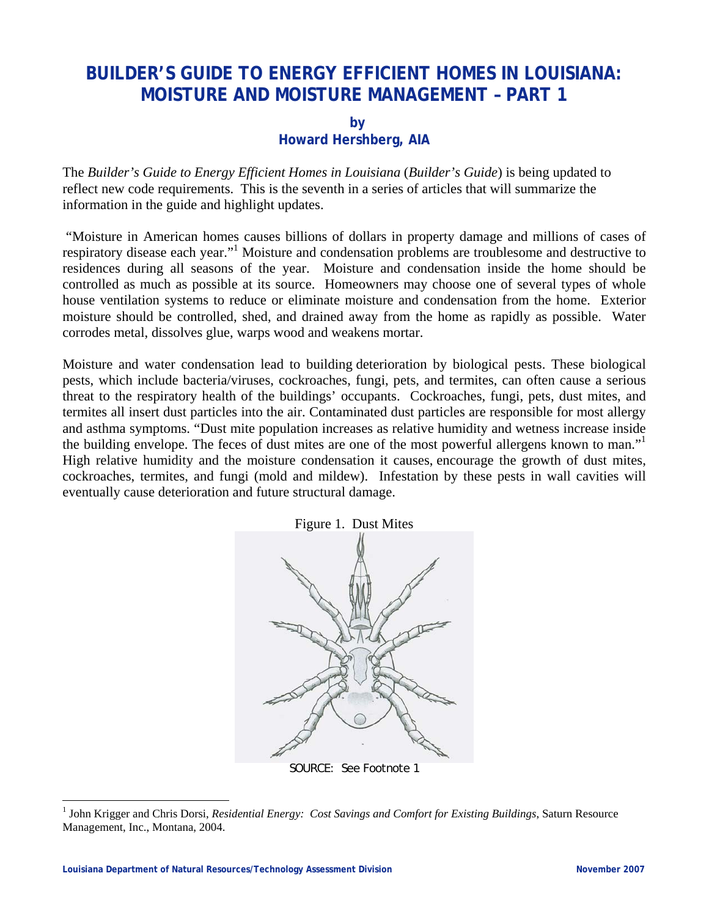## **BUILDER'S GUIDE TO ENERGY EFFICIENT HOMES IN LOUISIANA: MOISTURE AND MOISTURE MANAGEMENT – PART 1**

**by** 

## **Howard Hershberg, AIA**

The *Builder's Guide to Energy Efficient Homes in Louisiana* (*Builder's Guide*) is being updated to reflect new code requirements. This is the seventh in a series of articles that will summarize the information in the guide and highlight updates.

 "Moisture in American homes causes billions of dollars in property damage and millions of cases of respiratory disease each year."<sup>1</sup> Moisture and condensation problems are troublesome and destructive to residences during all seasons of the year. Moisture and condensation inside the home should be controlled as much as possible at its source. Homeowners may choose one of several types of whole house ventilation systems to reduce or eliminate moisture and condensation from the home. Exterior moisture should be controlled, shed, and drained away from the home as rapidly as possible. Water corrodes metal, dissolves glue, warps wood and weakens mortar.

Moisture and water condensation lead to building deterioration by biological pests. These biological pests, which include bacteria/viruses, cockroaches, fungi, pets, and termites, can often cause a serious threat to the respiratory health of the buildings' occupants. Cockroaches, fungi, pets, dust mites, and termites all insert dust particles into the air. Contaminated dust particles are responsible for most allergy and asthma symptoms. "Dust mite population increases as relative humidity and wetness increase inside the building envelope. The feces of dust mites are one of the most powerful allergens known to man." High relative humidity and the moisture condensation it causes, encourage the growth of dust mites, cockroaches, termites, and fungi (mold and mildew). Infestation by these pests in wall cavities will eventually cause deterioration and future structural damage.



SOURCE: See Footnote 1

 $\overline{a}$ 

<sup>&</sup>lt;sup>1</sup> John Krigger and Chris Dorsi, *Residential Energy: Cost Savings and Comfort for Existing Buildings*, Saturn Resource Management, Inc., Montana, 2004.